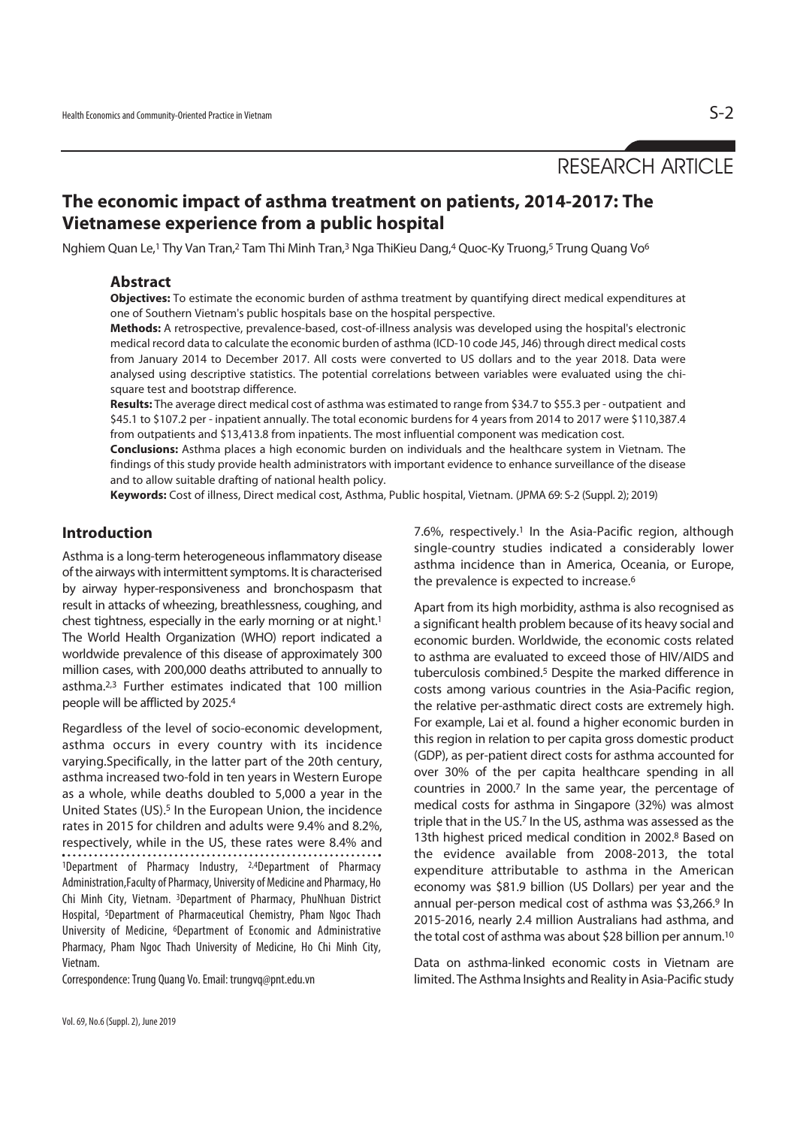# RESEARCH ARTICLE

# **The economic impact of asthma treatment on patients, 2014-2017: The Vietnamese experience from a public hospital**

Nghiem Quan Le,1 Thy Van Tran,2 Tam Thi Minh Tran,3 Nga ThiKieu Dang,4 Quoc-Ky Truong,5 Trung Quang Vo6

#### **Abstract**

**Objectives:** To estimate the economic burden of asthma treatment by quantifying direct medical expenditures at one of Southern Vietnam's public hospitals base on the hospital perspective.

**Methods:** A retrospective, prevalence-based, cost-of-illness analysis was developed using the hospital's electronic medical record data to calculate the economic burden of asthma (ICD-10 code J45, J46) through direct medical costs from January 2014 to December 2017. All costs were converted to US dollars and to the year 2018. Data were analysed using descriptive statistics. The potential correlations between variables were evaluated using the chisquare test and bootstrap difference.

**Results:** The average direct medical cost of asthma was estimated to range from \$34.7 to \$55.3 per - outpatient and \$45.1 to \$107.2 per - inpatient annually. The total economic burdens for 4 years from 2014 to 2017 were \$110,387.4 from outpatients and \$13,413.8 from inpatients. The most influential component was medication cost.

**Conclusions:** Asthma places a high economic burden on individuals and the healthcare system in Vietnam. The findings of this study provide health administrators with important evidence to enhance surveillance of the disease and to allow suitable drafting of national health policy.

**Keywords:** Cost of illness, Direct medical cost, Asthma, Public hospital, Vietnam. (JPMA 69: S-2 (Suppl. 2); 2019)

### **Introduction**

Asthma is a long-term heterogeneous inflammatory disease of the airways with intermittent symptoms. It is characterised by airway hyper-responsiveness and bronchospasm that result in attacks of wheezing, breathlessness, coughing, and chest tightness, especially in the early morning or at night.<sup>1</sup> The World Health Organization (WHO) report indicated a worldwide prevalence of this disease of approximately 300 million cases, with 200,000 deaths attributed to annually to asthma.2,3 Further estimates indicated that 100 million people will be afflicted by 2025.4

Regardless of the level of socio-economic development, asthma occurs in every country with its incidence varying.Specifically, in the latter part of the 20th century, asthma increased two-fold in ten years in Western Europe as a whole, while deaths doubled to 5,000 a year in the United States (US).<sup>5</sup> In the European Union, the incidence rates in 2015 for children and adults were 9.4% and 8.2%, respectively, while in the US, these rates were 8.4% and <sup>1</sup>Department of Pharmacy Industry, <sup>2,4</sup>Department of Pharmacy Administration,Faculty of Pharmacy, University of Medicine and Pharmacy, Ho Chi Minh City, Vietnam. 3Department of Pharmacy, PhuNhuan District Hospital, 5Department of Pharmaceutical Chemistry, Pham Ngoc Thach University of Medicine, 6Department of Economic and Administrative Pharmacy, Pham Ngoc Thach University of Medicine, Ho Chi Minh City, Vietnam.

Correspondence: Trung Quang Vo. Email: trungvq@pnt.edu.vn

7.6%, respectively.1 In the Asia-Pacific region, although single-country studies indicated a considerably lower asthma incidence than in America, Oceania, or Europe, the prevalence is expected to increase.<sup>6</sup>

Apart from its high morbidity, asthma is also recognised as a significant health problem because of its heavy social and economic burden. Worldwide, the economic costs related to asthma are evaluated to exceed those of HIV/AIDS and tuberculosis combined.5 Despite the marked difference in costs among various countries in the Asia-Pacific region, the relative per-asthmatic direct costs are extremely high. For example, Lai et al. found a higher economic burden in this region in relation to per capita gross domestic product (GDP), as per-patient direct costs for asthma accounted for over 30% of the per capita healthcare spending in all countries in 2000.7 In the same year, the percentage of medical costs for asthma in Singapore (32%) was almost triple that in the US.7 In the US, asthma was assessed as the 13th highest priced medical condition in 2002.8 Based on the evidence available from 2008-2013, the total expenditure attributable to asthma in the American economy was \$81.9 billion (US Dollars) per year and the annual per-person medical cost of asthma was \$3,266.9 In 2015-2016, nearly 2.4 million Australians had asthma, and the total cost of asthma was about \$28 billion per annum.10

Data on asthma-linked economic costs in Vietnam are limited. The Asthma Insights and Reality in Asia-Pacific study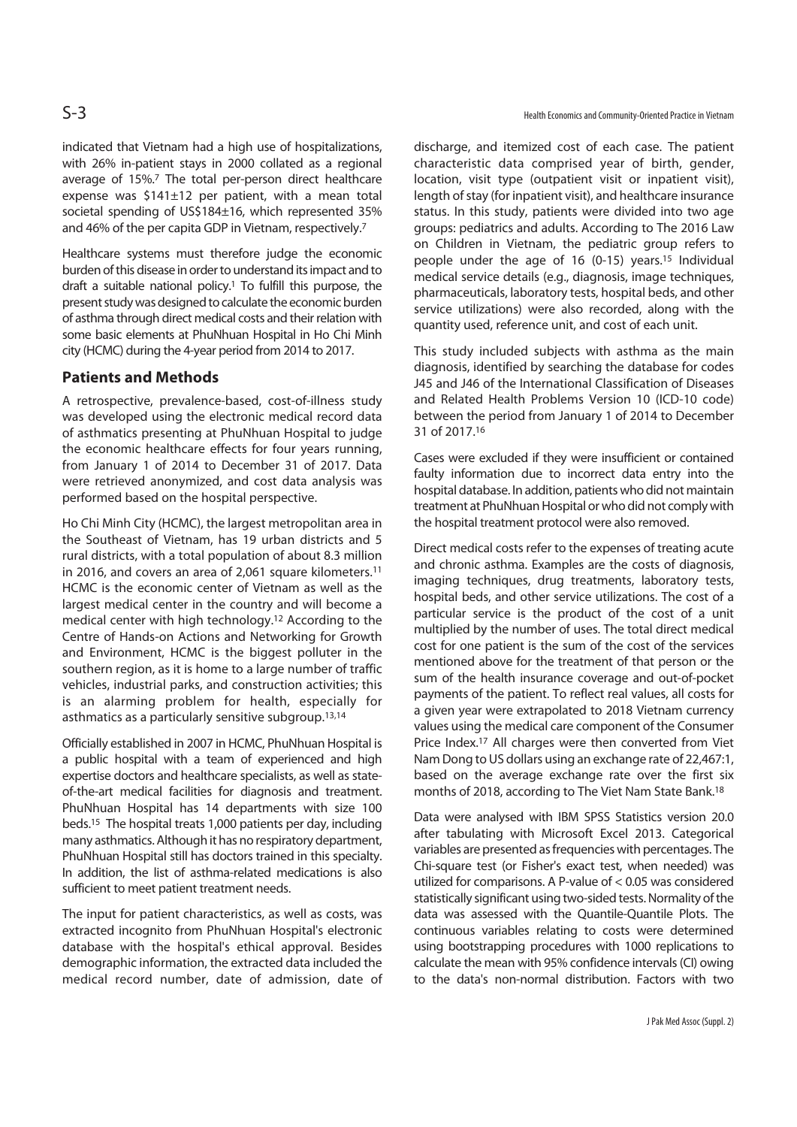indicated that Vietnam had a high use of hospitalizations, with 26% in-patient stays in 2000 collated as a regional average of 15%.7 The total per-person direct healthcare expense was \$141±12 per patient, with a mean total societal spending of US\$184±16, which represented 35% and 46% of the per capita GDP in Vietnam, respectively.7

Healthcare systems must therefore judge the economic burden of this disease in order to understand its impact and to draft a suitable national policy.1 To fulfill this purpose, the present study was designed to calculate the economic burden of asthma through direct medical costs and their relation with some basic elements at PhuNhuan Hospital in Ho Chi Minh city (HCMC) during the 4-year period from 2014 to 2017.

# **Patients and Methods**

A retrospective, prevalence-based, cost-of-illness study was developed using the electronic medical record data of asthmatics presenting at PhuNhuan Hospital to judge the economic healthcare effects for four years running, from January 1 of 2014 to December 31 of 2017. Data were retrieved anonymized, and cost data analysis was performed based on the hospital perspective.

Ho Chi Minh City (HCMC), the largest metropolitan area in the Southeast of Vietnam, has 19 urban districts and 5 rural districts, with a total population of about 8.3 million in 2016, and covers an area of 2,061 square kilometers.<sup>11</sup> HCMC is the economic center of Vietnam as well as the largest medical center in the country and will become a medical center with high technology.12 According to the Centre of Hands-on Actions and Networking for Growth and Environment, HCMC is the biggest polluter in the southern region, as it is home to a large number of traffic vehicles, industrial parks, and construction activities; this is an alarming problem for health, especially for asthmatics as a particularly sensitive subgroup.13,14

Officially established in 2007 in HCMC, PhuNhuan Hospital is a public hospital with a team of experienced and high expertise doctors and healthcare specialists, as well as stateof-the-art medical facilities for diagnosis and treatment. PhuNhuan Hospital has 14 departments with size 100 beds.15 The hospital treats 1,000 patients per day, including many asthmatics. Although it has no respiratory department, PhuNhuan Hospital still has doctors trained in this specialty. In addition, the list of asthma-related medications is also sufficient to meet patient treatment needs.

The input for patient characteristics, as well as costs, was extracted incognito from PhuNhuan Hospital's electronic database with the hospital's ethical approval. Besides demographic information, the extracted data included the medical record number, date of admission, date of discharge, and itemized cost of each case. The patient characteristic data comprised year of birth, gender, location, visit type (outpatient visit or inpatient visit), length of stay (for inpatient visit), and healthcare insurance status. In this study, patients were divided into two age groups: pediatrics and adults. According to The 2016 Law on Children in Vietnam, the pediatric group refers to people under the age of 16 (0-15) years.<sup>15</sup> Individual medical service details (e.g., diagnosis, image techniques, pharmaceuticals, laboratory tests, hospital beds, and other service utilizations) were also recorded, along with the quantity used, reference unit, and cost of each unit.

This study included subjects with asthma as the main diagnosis, identified by searching the database for codes J45 and J46 of the International Classification of Diseases and Related Health Problems Version 10 (ICD-10 code) between the period from January 1 of 2014 to December 31 of 2017.16

Cases were excluded if they were insufficient or contained faulty information due to incorrect data entry into the hospital database. In addition, patients who did not maintain treatment at PhuNhuan Hospital or who did not comply with the hospital treatment protocol were also removed.

Direct medical costs refer to the expenses of treating acute and chronic asthma. Examples are the costs of diagnosis, imaging techniques, drug treatments, laboratory tests, hospital beds, and other service utilizations. The cost of a particular service is the product of the cost of a unit multiplied by the number of uses. The total direct medical cost for one patient is the sum of the cost of the services mentioned above for the treatment of that person or the sum of the health insurance coverage and out-of-pocket payments of the patient. To reflect real values, all costs for a given year were extrapolated to 2018 Vietnam currency values using the medical care component of the Consumer Price Index.<sup>17</sup> All charges were then converted from Viet Nam Dong to US dollars using an exchange rate of 22,467:1, based on the average exchange rate over the first six months of 2018, according to The Viet Nam State Bank.18

Data were analysed with IBM SPSS Statistics version 20.0 after tabulating with Microsoft Excel 2013. Categorical variables are presented as frequencies with percentages. The Chi-square test (or Fisher's exact test, when needed) was utilized for comparisons. A P-value of < 0.05 was considered statistically significant using two-sided tests. Normality of the data was assessed with the Quantile-Quantile Plots. The continuous variables relating to costs were determined using bootstrapping procedures with 1000 replications to calculate the mean with 95% confidence intervals (CI) owing to the data's non-normal distribution. Factors with two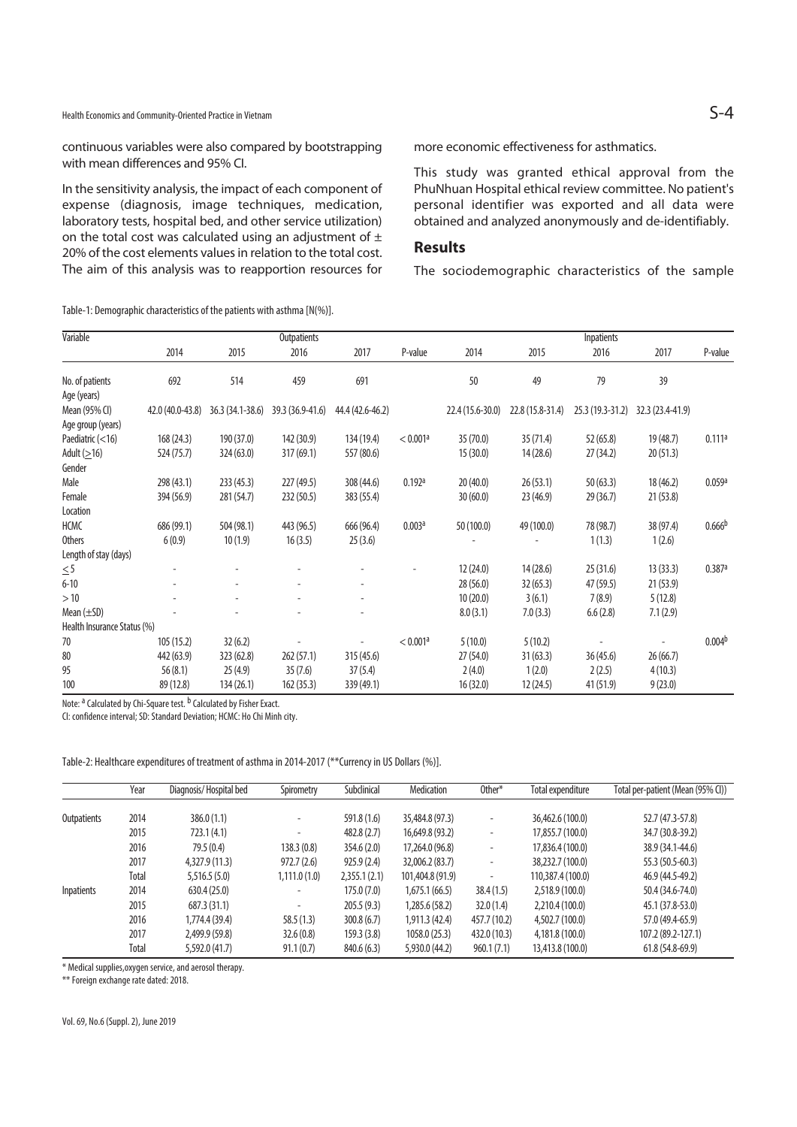Health Economics and Community-Oriented Practice in Vietnam S-4

continuous variables were also compared by bootstrapping with mean differences and 95% CI.

In the sensitivity analysis, the impact of each component of expense (diagnosis, image techniques, medication, laboratory tests, hospital bed, and other service utilization) on the total cost was calculated using an adjustment of  $\pm$ 20% of the cost elements values in relation to the total cost. The aim of this analysis was to reapportion resources for

Table-1: Demographic characteristics of the patients with asthma [N(%)].

more economic effectiveness for asthmatics.

This study was granted ethical approval from the PhuNhuan Hospital ethical review committee. No patient's personal identifier was exported and all data were obtained and analyzed anonymously and de-identifiably.

#### **Results**

The sociodemographic characteristics of the sample

| Variable                    |                  |                  | Outpatients      |                  | Inpatients |                  |                  |                  |                  |                    |
|-----------------------------|------------------|------------------|------------------|------------------|------------|------------------|------------------|------------------|------------------|--------------------|
|                             | 2014             | 2015             | 2016             | 2017             | P-value    | 2014             | 2015             | 2016             | 2017             | P-value            |
| No. of patients             | 692              | 514              | 459              | 691              |            | 50               | 49               | 79               | 39               |                    |
| Age (years)                 |                  |                  |                  |                  |            |                  |                  |                  |                  |                    |
| Mean (95% CI)               | 42.0 (40.0-43.8) | 36.3 (34.1-38.6) | 39.3 (36.9-41.6) | 44.4 (42.6-46.2) |            | 22.4 (15.6-30.0) | 22.8 (15.8-31.4) | 25.3 (19.3-31.2) | 32.3 (23.4-41.9) |                    |
| Age group (years)           |                  |                  |                  |                  |            |                  |                  |                  |                  |                    |
| Paediatric (<16)            | 168 (24.3)       | 190 (37.0)       | 142 (30.9)       | 134 (19.4)       | < 0.001a   | 35(70.0)         | 35(71.4)         | 52 (65.8)        | 19 (48.7)        | 0.111a             |
| Adult $(≥16)$               | 524 (75.7)       | 324 (63.0)       | 317 (69.1)       | 557 (80.6)       |            | 15(30.0)         | 14 (28.6)        | 27(34.2)         | 20(51.3)         |                    |
| Gender                      |                  |                  |                  |                  |            |                  |                  |                  |                  |                    |
| Male                        | 298 (43.1)       | 233(45.3)        | 227 (49.5)       | 308(44.6)        | 0.192a     | 20(40.0)         | 26(53.1)         | 50(63.3)         | 18 (46.2)        | 0.059a             |
| Female                      | 394 (56.9)       | 281 (54.7)       | 232 (50.5)       | 383(55.4)        |            | 30(60.0)         | 23(46.9)         | 29(36.7)         | 21(53.8)         |                    |
| Location                    |                  |                  |                  |                  |            |                  |                  |                  |                  |                    |
| HCMC                        | 686 (99.1)       | 504 (98.1)       | 443 (96.5)       | 666 (96.4)       | 0.003a     | 50 (100.0)       | 49 (100.0)       | 78 (98.7)        | 38 (97.4)        | 0.666 <sup>b</sup> |
| <b>Others</b>               | 6(0.9)           | 10(1.9)          | 16(3.5)          | 25(3.6)          |            |                  |                  | 1(1.3)           | 1(2.6)           |                    |
| Length of stay (days)       |                  |                  |                  |                  |            |                  |                  |                  |                  |                    |
| $\leq 5$                    |                  |                  |                  |                  |            | 12(24.0)         | 14(28.6)         | 25(31.6)         | 13(33.3)         | 0.387a             |
| $6 - 10$                    |                  | ÷,               |                  |                  |            | 28(56.0)         | 32(65.3)         | 47 (59.5)        | 21(53.9)         |                    |
| >10                         |                  |                  |                  |                  |            | 10(20.0)         | 3(6.1)           | 7(8.9)           | 5(12.8)          |                    |
| Mean $(\pm SD)$             |                  |                  |                  |                  |            | 8.0(3.1)         | 7.0(3.3)         | 6.6(2.8)         | 7.1(2.9)         |                    |
| Health Insurance Status (%) |                  |                  |                  |                  |            |                  |                  |                  |                  |                    |
| 70                          | 105(15.2)        | 32(6.2)          |                  |                  | < 0.001a   | 5(10.0)          | 5(10.2)          |                  |                  | 0.004 <sup>b</sup> |
| 80                          | 442 (63.9)       | 323 (62.8)       | 262(57.1)        | 315(45.6)        |            | 27(54.0)         | 31(63.3)         | 36(45.6)         | 26 (66.7)        |                    |
| 95                          | 56(8.1)          | 25(4.9)          | 35(7.6)          | 37(5.4)          |            | 2(4.0)           | 1(2.0)           | 2(2.5)           | 4(10.3)          |                    |
| 100                         | 89 (12.8)        | 134(26.1)        | 162(35.3)        | 339(49.1)        |            | 16(32.0)         | 12(24.5)         | 41 (51.9)        | 9(23.0)          |                    |

Note: <sup>a</sup> Calculated by Chi-Square test. <sup>b</sup> Calculated by Fisher Exact.

CI: confidence interval; SD: Standard Deviation; HCMC: Ho Chi Minh city.

Table-2: Healthcare expenditures of treatment of asthma in 2014-2017 (\*\*Currency in US Dollars (%)].

|             | Year  | Diagnosis/Hospital bed | Spirometry    | Subclinical  | Medication       | Other*       | Total expenditure | Total per-patient (Mean (95% CI)) |
|-------------|-------|------------------------|---------------|--------------|------------------|--------------|-------------------|-----------------------------------|
|             |       |                        |               |              |                  |              |                   |                                   |
| Outpatients | 2014  | 386.0(1.1)             | $\sim$        | 591.8 (1.6)  | 35,484.8 (97.3)  |              | 36,462.6 (100.0)  | 52.7 (47.3-57.8)                  |
|             | 2015  | 723.1 (4.1)            | $\sim$        | 482.8(2.7)   | 16,649.8(93.2)   |              | 17,855.7 (100.0)  | 34.7 (30.8-39.2)                  |
|             | 2016  | 79.5 (0.4)             | 138.3(0.8)    | 354.6(2.0)   | 17,264.0 (96.8)  | ٠            | 17,836.4 (100.0)  | 38.9 (34.1-44.6)                  |
|             | 2017  | 4,327.9(11.3)          | 972.7(2.6)    | 925.9(2.4)   | 32,006.2 (83.7)  | ٠            | 38,232.7 (100.0)  | 55.3 (50.5-60.3)                  |
|             | Total | 5,516.5(5.0)           | 1,111.0 (1.0) | 2,355.1(2.1) | 101,404.8 (91.9) |              | 110,387.4 (100.0) | 46.9 (44.5-49.2)                  |
| Inpatients  | 2014  | 630.4(25.0)            | $\sim$        | 175.0(7.0)   | 1,675.1(66.5)    | 38.4(1.5)    | 2,518.9(100.0)    | 50.4 (34.6-74.0)                  |
|             | 2015  | 687.3 (31.1)           | $\sim$        | 205.5(9.3)   | 1,285.6 (58.2)   | 32.0(1.4)    | 2,210.4 (100.0)   | 45.1 (37.8-53.0)                  |
|             | 2016  | 1,774.4 (39.4)         | 58.5(1.3)     | 300.8(6.7)   | 1,911.3 (42.4)   | 457.7 (10.2) | 4,502.7 (100.0)   | 57.0 (49.4-65.9)                  |
|             | 2017  | 2,499.9 (59.8)         | 32.6(0.8)     | 159.3(3.8)   | 1058.0(25.3)     | 432.0 (10.3) | 4,181.8 (100.0)   | 107.2 (89.2-127.1)                |
|             | Total | 5,592.0 (41.7)         | 91.1(0.7)     | 840.6 (6.3)  | 5,930.0(44.2)    | 960.1(7.1)   | 13,413.8 (100.0)  | $61.8(54.8-69.9)$                 |

\* Medical supplies,oxygen service, and aerosol therapy.

\*\* Foreign exchange rate dated: 2018.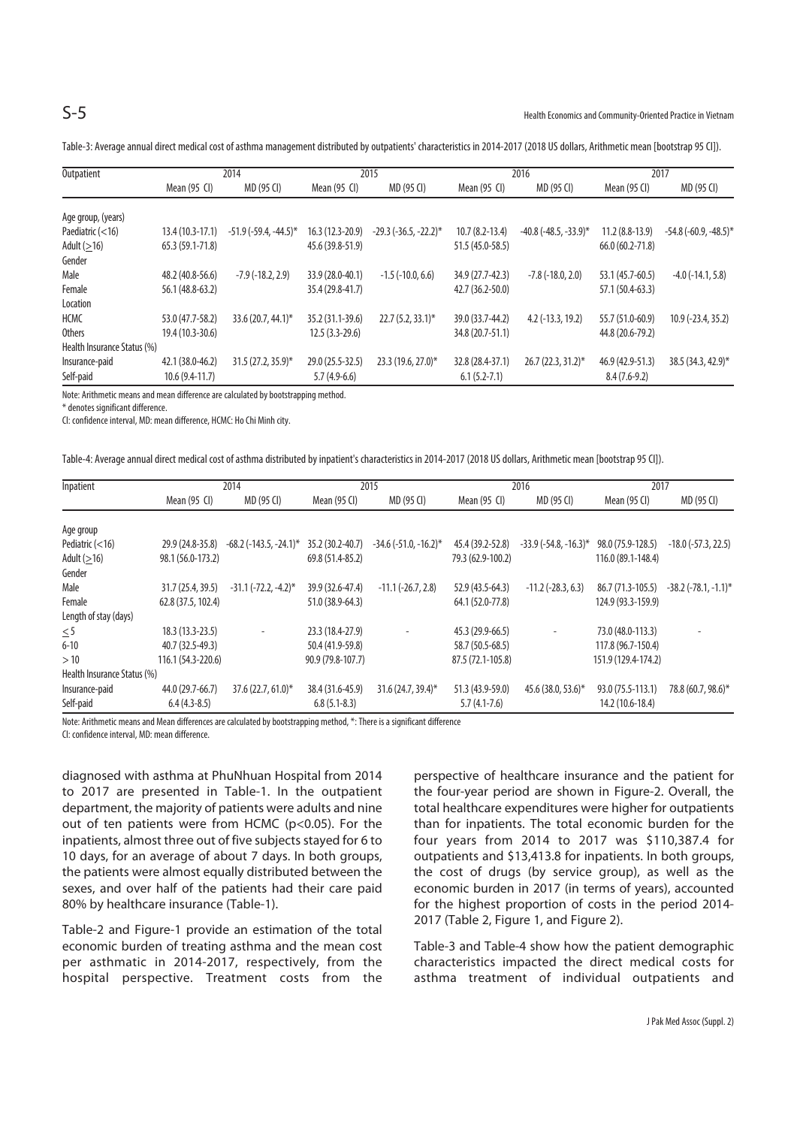| Outpatient                  | 2014              |                                | 2015             |                                |                  | 2016                           | 2017                |                         |
|-----------------------------|-------------------|--------------------------------|------------------|--------------------------------|------------------|--------------------------------|---------------------|-------------------------|
|                             | Mean (95 CI)      | MD (95 CI)                     | Mean (95 CI)     | MD (95 CI)                     | Mean $(95)$      | MD (95 CI)                     | Mean (95 CI)        | MD (95 CI)              |
| Age group, (years)          |                   |                                |                  |                                |                  |                                |                     |                         |
| Paediatric $(<16)$          | $13.4(10.3-17.1)$ | $-51.9$ ( $-59.4$ , $-44.5$ )* | 16.3 (12.3-20.9) | $-29.3$ ( $-36.5$ , $-22.2$ )* | $10.7(8.2-13.4)$ | $-40.8$ ( $-48.5$ , $-33.9$ )* | $11.2(8.8-13.9)$    | $-54.8(-60.9, -48.5)^*$ |
| Adult $(>16)$               | $65.3(59.1-71.8)$ |                                | 45.6 (39.8-51.9) |                                | 51.5 (45.0-58.5) |                                | $66.0(60.2 - 71.8)$ |                         |
| Gender                      |                   |                                |                  |                                |                  |                                |                     |                         |
| Male                        | 48.2 (40.8-56.6)  | $-7.9$ ( $-18.2$ , 2.9)        | 33.9 (28.0-40.1) | $-1.5$ ( $-10.0, 6.6$ )        | 34.9 (27.7-42.3) | $-7.8$ ( $-18.0$ , $2.0$ )     | 53.1 (45.7-60.5)    | $-4.0$ ( $-14.1, 5.8$ ) |
| Female                      | 56.1 (48.8-63.2)  |                                | 35.4 (29.8-41.7) |                                | 42.7 (36.2-50.0) |                                | 57.1 (50.4-63.3)    |                         |
| Location                    |                   |                                |                  |                                |                  |                                |                     |                         |
| <b>HCMC</b>                 | 53.0 (47.7-58.2)  | $33.6(20.7, 44.1)$ *           | 35.2 (31.1-39.6) | $22.7(5.2, 33.1)$ *            | 39.0 (33.7-44.2) | $4.2$ ( $-13.3$ , $19.2$ )     | 55.7 (51.0-60.9)    | $10.9$ (-23.4, 35.2)    |
| Others                      | 19.4 (10.3-30.6)  |                                | $12.5(3.3-29.6)$ |                                | 34.8 (20.7-51.1) |                                | 44.8 (20.6-79.2)    |                         |
| Health Insurance Status (%) |                   |                                |                  |                                |                  |                                |                     |                         |
| Insurance-paid              | 42.1 (38.0-46.2)  | 31.5 (27.2, 35.9)*             | 29.0 (25.5-32.5) | 23.3 (19.6, 27.0)*             | 32.8 (28.4-37.1) | $26.7(22.3, 31.2)$ *           | 46.9 (42.9-51.3)    | 38.5 (34.3, 42.9)*      |
| Self-paid                   | $10.6(9.4-11.7)$  |                                | $5.7(4.9-6.6)$   |                                | $6.1(5.2-7.1)$   |                                | $8.4(7.6-9.2)$      |                         |

Table-3: Average annual direct medical cost of asthma management distributed by outpatients' characteristics in 2014-2017 (2018 US dollars, Arithmetic mean [bootstrap 95 CI]).

Note: Arithmetic means and mean difference are calculated by bootstrapping method.

\* denotes significant difference.

CI: confidence interval, MD: mean difference, HCMC: Ho Chi Minh city.

|  | Table-4: Average annual direct medical cost of asthma distributed by inpatient's characteristics in 2014-2017 (2018 US dollars, Arithmetic mean [bootstrap 95 Cl]). |  |  |  |
|--|---------------------------------------------------------------------------------------------------------------------------------------------------------------------|--|--|--|
|  |                                                                                                                                                                     |  |  |  |
|  |                                                                                                                                                                     |  |  |  |
|  |                                                                                                                                                                     |  |  |  |

| Inpatient                   |                    | 2014                      | 2015              |                                |                   | 2016                           | 2017                |                               |
|-----------------------------|--------------------|---------------------------|-------------------|--------------------------------|-------------------|--------------------------------|---------------------|-------------------------------|
|                             | Mean (95 CI)       | MD (95 CI)                | Mean (95 CI)      | MD (95 CI)                     | Mean (95 CI)      | MD (95 CI)                     | Mean (95 CI)        | MD (95 CI)                    |
|                             |                    |                           |                   |                                |                   |                                |                     |                               |
| Age group                   |                    |                           |                   |                                |                   |                                |                     |                               |
| Pediatric $(<16)$           | 29.9 (24.8-35.8)   | $-68.2$ (-143.5, -24.1)*  | 35.2 (30.2-40.7)  | $-34.6$ ( $-51.0$ , $-16.2$ )* | 45.4 (39.2-52.8)  | $-33.9$ ( $-54.8$ , $-16.3$ )* | 98.0 (75.9-128.5)   | $-18.0$ ( $-57.3$ , 22.5)     |
| Adult $(≥16)$               | 98.1 (56.0-173.2)  |                           | 69.8 (51.4-85.2)  |                                | 79.3 (62.9-100.2) |                                | 116.0 (89.1-148.4)  |                               |
| Gender                      |                    |                           |                   |                                |                   |                                |                     |                               |
| Male                        | 31.7 (25.4, 39.5)  | $-31.1$ $(-72.2, -4.2)$ * | 39.9 (32.6-47.4)  | $-11.1$ $(-26.7, 2.8)$         | 52.9 (43.5-64.3)  | $-11.2$ ( $-28.3, 6.3$ )       | 86.7 (71.3-105.5)   | $-38.2$ ( $-78.1$ , $-1.1$ )* |
| Female                      | 62.8 (37.5, 102.4) |                           | 51.0 (38.9-64.3)  |                                | 64.1 (52.0-77.8)  |                                | 124.9 (93.3-159.9)  |                               |
| Length of stay (days)       |                    |                           |                   |                                |                   |                                |                     |                               |
| $\leq$ 5                    | $18.3(13.3-23.5)$  | ٠                         | 23.3 (18.4-27.9)  |                                | 45.3 (29.9-66.5)  |                                | 73.0 (48.0-113.3)   |                               |
| $6 - 10$                    | 40.7 (32.5-49.3)   |                           | 50.4 (41.9-59.8)  |                                | 58.7 (50.5-68.5)  |                                | 117.8 (96.7-150.4)  |                               |
| >10                         | 116.1 (54.3-220.6) |                           | 90.9 (79.8-107.7) |                                | 87.5 (72.1-105.8) |                                | 151.9 (129.4-174.2) |                               |
| Health Insurance Status (%) |                    |                           |                   |                                |                   |                                |                     |                               |
| Insurance-paid              | 44.0 (29.7-66.7)   | 37.6 (22.7, 61.0)*        | 38.4 (31.6-45.9)  | 31.6 (24.7, 39.4)*             | 51.3 (43.9-59.0)  | 45.6 (38.0, 53.6)*             | 93.0 (75.5-113.1)   | 78.8 (60.7, 98.6)*            |
| Self-paid                   | $6.4(4.3-8.5)$     |                           | $6.8(5.1-8.3)$    |                                | $5.7(4.1-7.6)$    |                                | 14.2 (10.6-18.4)    |                               |

Note: Arithmetic means and Mean differences are calculated by bootstrapping method, \*: There is a significant difference

CI: confidence interval, MD: mean difference.

diagnosed with asthma at PhuNhuan Hospital from 2014 to 2017 are presented in Table-1. In the outpatient department, the majority of patients were adults and nine out of ten patients were from HCMC (p<0.05). For the inpatients, almost three out of five subjects stayed for 6 to 10 days, for an average of about 7 days. In both groups, the patients were almost equally distributed between the sexes, and over half of the patients had their care paid 80% by healthcare insurance (Table-1).

Table-2 and Figure-1 provide an estimation of the total economic burden of treating asthma and the mean cost per asthmatic in 2014-2017, respectively, from the hospital perspective. Treatment costs from the

perspective of healthcare insurance and the patient for the four-year period are shown in Figure-2. Overall, the total healthcare expenditures were higher for outpatients than for inpatients. The total economic burden for the four years from 2014 to 2017 was \$110,387.4 for outpatients and \$13,413.8 for inpatients. In both groups, the cost of drugs (by service group), as well as the economic burden in 2017 (in terms of years), accounted for the highest proportion of costs in the period 2014- 2017 (Table 2, Figure 1, and Figure 2).

Table-3 and Table-4 show how the patient demographic characteristics impacted the direct medical costs for asthma treatment of individual outpatients and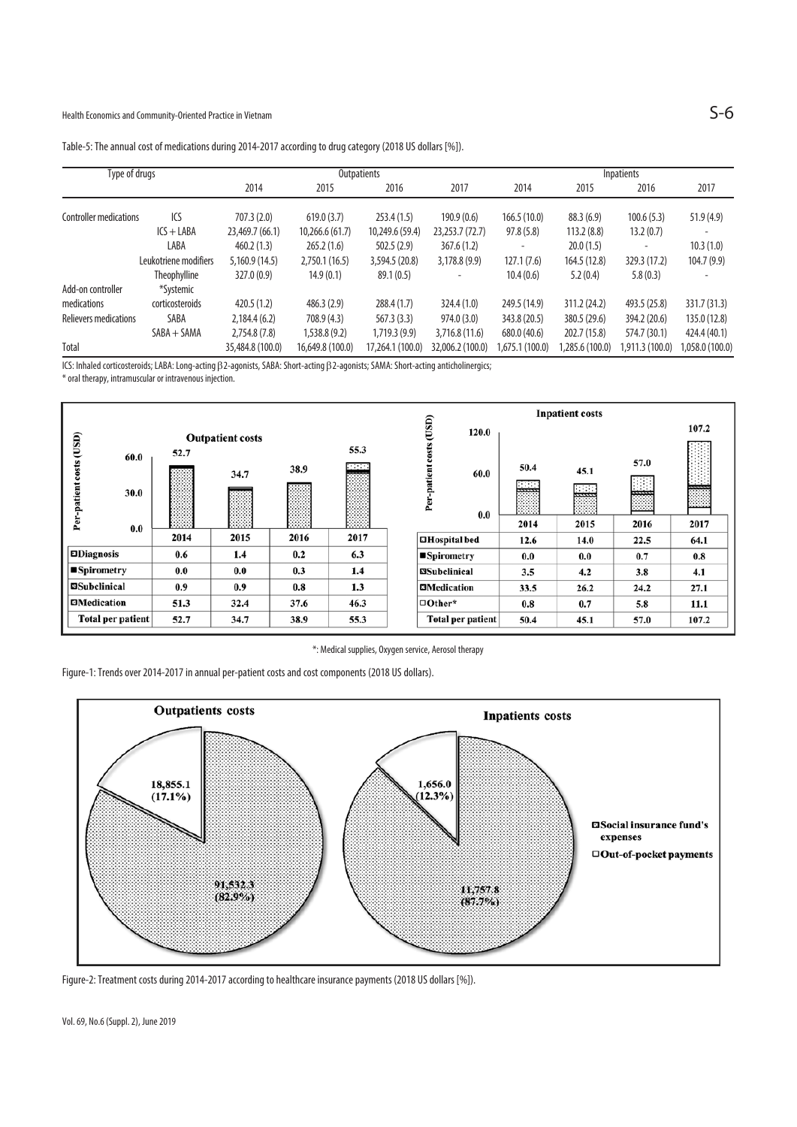| Table-5: The annual cost of medications during 2014-2017 according to drug category (2018 US dollars [%]). |  |  |
|------------------------------------------------------------------------------------------------------------|--|--|
|                                                                                                            |  |  |

| Type of drugs                 |                       |                  | Outpatients      | <b>Inpatients</b> |                  |                 |                                                                                                                                                                                                                         |                 |                 |
|-------------------------------|-----------------------|------------------|------------------|-------------------|------------------|-----------------|-------------------------------------------------------------------------------------------------------------------------------------------------------------------------------------------------------------------------|-----------------|-----------------|
|                               |                       | 2014             | 2015             | 2016              | 2017             | 2014            | 2015                                                                                                                                                                                                                    | 2016            | 2017            |
| <b>Controller medications</b> | ICS                   | 707.3(2.0)       | 619.0(3.7)       | 253.4(1.5)        | 190.9(0.6)       | 166.5(10.0)     | 88.3(6.9)<br>100.6(5.3)<br>113.2(8.8)<br>13.2(0.7)<br>20.0(1.5)<br>164.5 (12.8)<br>329.3 (17.2)<br>5.2(0.4)<br>5.8(0.3)<br>311.2 (24.2)<br>493.5 (25.8)<br>380.5 (29.6)<br>394.2 (20.6)<br>574.7 (30.1)<br>202.7 (15.8) | 51.9(4.9)       |                 |
|                               | $ICS + LABA$          | 23,469.7 (66.1)  | 10,266.6(61.7)   | 10,249.6 (59.4)   | 23,253.7 (72.7)  | 97.8(5.8)       |                                                                                                                                                                                                                         |                 |                 |
|                               | LABA                  | 460.2(1.3)       | 265.2(1.6)       | 502.5(2.9)        | 367.6(1.2)       |                 |                                                                                                                                                                                                                         |                 | 10.3(1.0)       |
|                               | Leukotriene modifiers | 5,160.9(14.5)    | 2,750.1(16.5)    | 3,594.5 (20.8)    | 3,178.8(9.9)     | 127.1(7.6)      |                                                                                                                                                                                                                         |                 | 104.7(9.9)      |
|                               | <b>Theophylline</b>   | 327.0 (0.9)      | 14.9(0.1)        | 89.1(0.5)         |                  | 10.4(0.6)       |                                                                                                                                                                                                                         |                 |                 |
| Add-on controller             | *Systemic             |                  |                  |                   |                  |                 |                                                                                                                                                                                                                         |                 |                 |
| medications                   | corticosteroids       | 420.5(1.2)       | 486.3(2.9)       | 288.4(1.7)        | 324.4 (1.0)      | 249.5 (14.9)    |                                                                                                                                                                                                                         |                 | 331.7 (31.3)    |
| Relievers medications         | SABA                  | 2,184.4(6.2)     | 708.9 (4.3)      | 567.3 (3.3)       | 974.0(3.0)       | 343.8 (20.5)    |                                                                                                                                                                                                                         |                 | 135.0 (12.8)    |
|                               | $SABA + SAMA$         | 2,754.8 (7.8)    | 1,538.8(9.2)     | 1,719.3(9.9)      | 3.716.8(11.6)    | 680.0 (40.6)    |                                                                                                                                                                                                                         |                 | 424.4 (40.1)    |
| Total                         |                       | 35,484.8 (100.0) | 16,649.8 (100.0) | 17,264.1 (100.0)  | 32,006.2 (100.0) | 1,675.1 (100.0) | .285.6(100.0)                                                                                                                                                                                                           | 1,911.3 (100.0) | 0.001) 0.058.0, |

ICS: Inhaled corticosteroids; LABA: Long-acting β2-agonists, SABA: Short-acting β2-agonists; SAMA: Short-acting anticholinergics;

\* oral therapy, intramuscular or intravenous injection.



\*: Medical supplies, Oxygen service, Aerosol therapy

Figure-1: Trends over 2014-2017 in annual per-patient costs and cost components (2018 US dollars).



Figure-2: Treatment costs during 2014-2017 according to healthcare insurance payments (2018 US dollars [%]).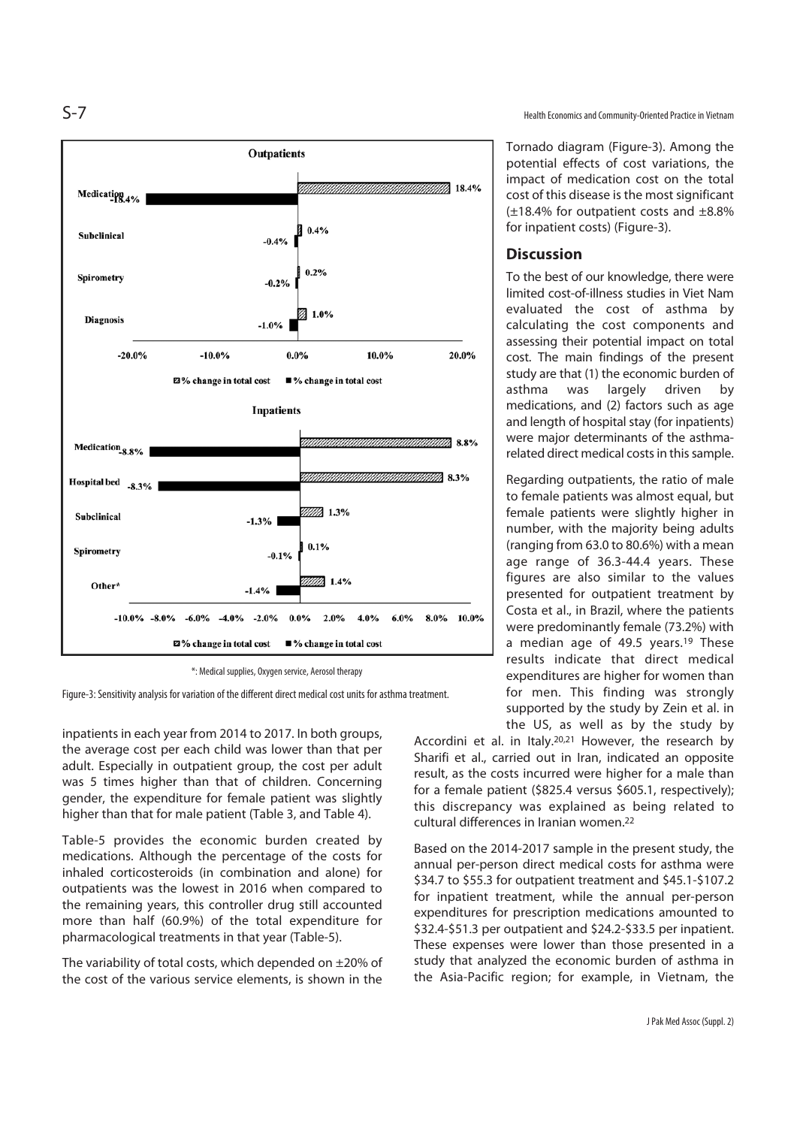

\*: Medical supplies, Oxygen service, Aerosol therapy

Figure-3: Sensitivity analysis for variation of the different direct medical cost units for asthma treatment.

inpatients in each year from 2014 to 2017. In both groups, the average cost per each child was lower than that per adult. Especially in outpatient group, the cost per adult was 5 times higher than that of children. Concerning gender, the expenditure for female patient was slightly higher than that for male patient (Table 3, and Table 4).

Table-5 provides the economic burden created by medications. Although the percentage of the costs for inhaled corticosteroids (in combination and alone) for outpatients was the lowest in 2016 when compared to the remaining years, this controller drug still accounted more than half (60.9%) of the total expenditure for pharmacological treatments in that year (Table-5).

The variability of total costs, which depended on ±20% of the cost of the various service elements, is shown in the

S-7 Health Economics and Community-Oriented Practice in Vietnam

Tornado diagram (Figure-3). Among the potential effects of cost variations, the impact of medication cost on the total cost of this disease is the most significant (±18.4% for outpatient costs and ±8.8% for inpatient costs) (Figure-3).

## **Discussion**

To the best of our knowledge, there were limited cost-of-illness studies in Viet Nam evaluated the cost of asthma by calculating the cost components and assessing their potential impact on total cost. The main findings of the present study are that (1) the economic burden of asthma was largely driven by medications, and (2) factors such as age and length of hospital stay (for inpatients) were major determinants of the asthmarelated direct medical costs in this sample.

Regarding outpatients, the ratio of male to female patients was almost equal, but female patients were slightly higher in number, with the majority being adults (ranging from 63.0 to 80.6%) with a mean age range of 36.3-44.4 years. These figures are also similar to the values presented for outpatient treatment by Costa et al., in Brazil, where the patients were predominantly female (73.2%) with a median age of 49.5 years.<sup>19</sup> These results indicate that direct medical expenditures are higher for women than for men. This finding was strongly supported by the study by Zein et al. in the US, as well as by the study by

Accordini et al. in Italy.20,21 However, the research by Sharifi et al., carried out in Iran, indicated an opposite result, as the costs incurred were higher for a male than for a female patient (\$825.4 versus \$605.1, respectively); this discrepancy was explained as being related to cultural differences in Iranian women.22

Based on the 2014-2017 sample in the present study, the annual per-person direct medical costs for asthma were \$34.7 to \$55.3 for outpatient treatment and \$45.1-\$107.2 for inpatient treatment, while the annual per-person expenditures for prescription medications amounted to \$32.4-\$51.3 per outpatient and \$24.2-\$33.5 per inpatient. These expenses were lower than those presented in a study that analyzed the economic burden of asthma in the Asia-Pacific region; for example, in Vietnam, the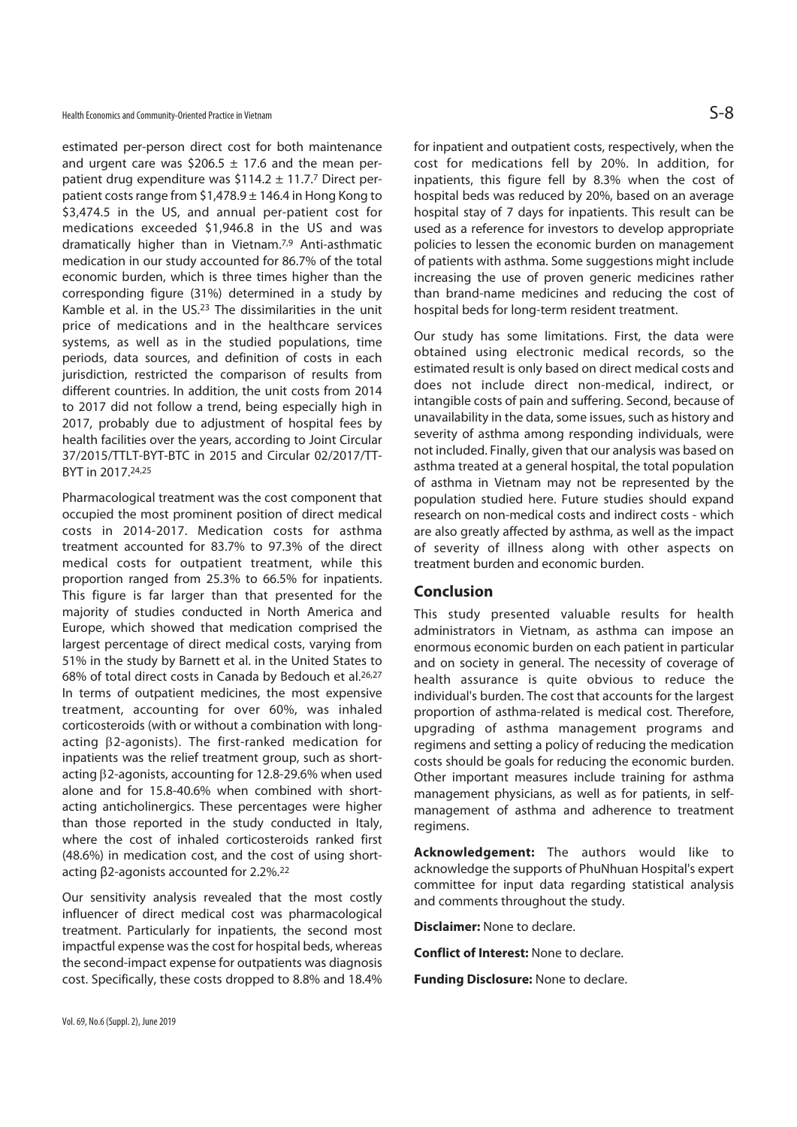estimated per-person direct cost for both maintenance and urgent care was \$206.5  $\pm$  17.6 and the mean perpatient drug expenditure was  $$114.2 \pm 11.7$ .<sup>7</sup> Direct perpatient costs range from  $$1,478.9 \pm 146.4$  in Hong Kong to \$3,474.5 in the US, and annual per-patient cost for medications exceeded \$1,946.8 in the US and was dramatically higher than in Vietnam.7,9 Anti-asthmatic medication in our study accounted for 86.7% of the total economic burden, which is three times higher than the corresponding figure (31%) determined in a study by Kamble et al. in the US.23 The dissimilarities in the unit price of medications and in the healthcare services systems, as well as in the studied populations, time periods, data sources, and definition of costs in each jurisdiction, restricted the comparison of results from different countries. In addition, the unit costs from 2014 to 2017 did not follow a trend, being especially high in 2017, probably due to adjustment of hospital fees by health facilities over the years, according to Joint Circular 37/2015/TTLT-BYT-BTC in 2015 and Circular 02/2017/TT-BYT in 2017.24,25

Pharmacological treatment was the cost component that occupied the most prominent position of direct medical costs in 2014-2017. Medication costs for asthma treatment accounted for 83.7% to 97.3% of the direct medical costs for outpatient treatment, while this proportion ranged from 25.3% to 66.5% for inpatients. This figure is far larger than that presented for the majority of studies conducted in North America and Europe, which showed that medication comprised the largest percentage of direct medical costs, varying from 51% in the study by Barnett et al. in the United States to 68% of total direct costs in Canada by Bedouch et al.26,27 In terms of outpatient medicines, the most expensive treatment, accounting for over 60%, was inhaled corticosteroids (with or without a combination with longacting β2-agonists). The first-ranked medication for inpatients was the relief treatment group, such as shortacting β2-agonists, accounting for 12.8-29.6% when used alone and for 15.8-40.6% when combined with shortacting anticholinergics. These percentages were higher than those reported in the study conducted in Italy, where the cost of inhaled corticosteroids ranked first (48.6%) in medication cost, and the cost of using shortacting β2-agonists accounted for 2.2%.22

Our sensitivity analysis revealed that the most costly influencer of direct medical cost was pharmacological treatment. Particularly for inpatients, the second most impactful expense was the cost for hospital beds, whereas the second-impact expense for outpatients was diagnosis cost. Specifically, these costs dropped to 8.8% and 18.4%

Vol. 69, No.6 (Suppl. 2), June 2019

for inpatient and outpatient costs, respectively, when the cost for medications fell by 20%. In addition, for inpatients, this figure fell by 8.3% when the cost of hospital beds was reduced by 20%, based on an average hospital stay of 7 days for inpatients. This result can be used as a reference for investors to develop appropriate policies to lessen the economic burden on management of patients with asthma. Some suggestions might include increasing the use of proven generic medicines rather than brand-name medicines and reducing the cost of hospital beds for long-term resident treatment.

Our study has some limitations. First, the data were obtained using electronic medical records, so the estimated result is only based on direct medical costs and does not include direct non-medical, indirect, or intangible costs of pain and suffering. Second, because of unavailability in the data, some issues, such as history and severity of asthma among responding individuals, were not included. Finally, given that our analysis was based on asthma treated at a general hospital, the total population of asthma in Vietnam may not be represented by the population studied here. Future studies should expand research on non-medical costs and indirect costs - which are also greatly affected by asthma, as well as the impact of severity of illness along with other aspects on treatment burden and economic burden.

### **Conclusion**

This study presented valuable results for health administrators in Vietnam, as asthma can impose an enormous economic burden on each patient in particular and on society in general. The necessity of coverage of health assurance is quite obvious to reduce the individual's burden. The cost that accounts for the largest proportion of asthma-related is medical cost. Therefore, upgrading of asthma management programs and regimens and setting a policy of reducing the medication costs should be goals for reducing the economic burden. Other important measures include training for asthma management physicians, as well as for patients, in selfmanagement of asthma and adherence to treatment regimens.

**Acknowledgement:** The authors would like to acknowledge the supports of PhuNhuan Hospital's expert committee for input data regarding statistical analysis and comments throughout the study.

**Disclaimer:** None to declare.

**Conflict of Interest:** None to declare.

**Funding Disclosure:** None to declare.